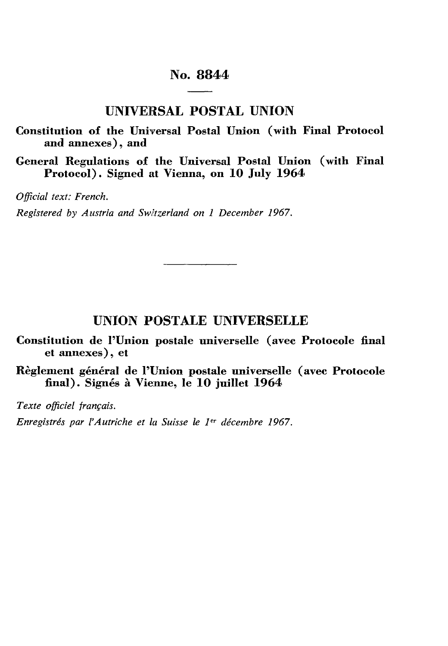# **No. 8844**

**UNIVERSAL POSTAL UNION**

**Constitution of the Universal Postal Union (with Final Protocol and annexes), and**

**General Regulations of the Universal Postal Union (with Final Protocol). Signed at Vienna, on 10 July 1964**

*Official text: French.*

*Registered by Austria and Switzerland on 1 December 1967.*

# **UNION POSTALE UNIVERSELLE**

**Constitution de l'Union postale universelle (avec Protocole final et annexes), et**

**Règlement général de l'Union postale universelle (avec Protocole final). Signés à Vienne, le 10 juillet 1964**

*Texte officiel français.*

*Enregistrés par l'Autriche et la Suisse le 1 er décembre 1967.*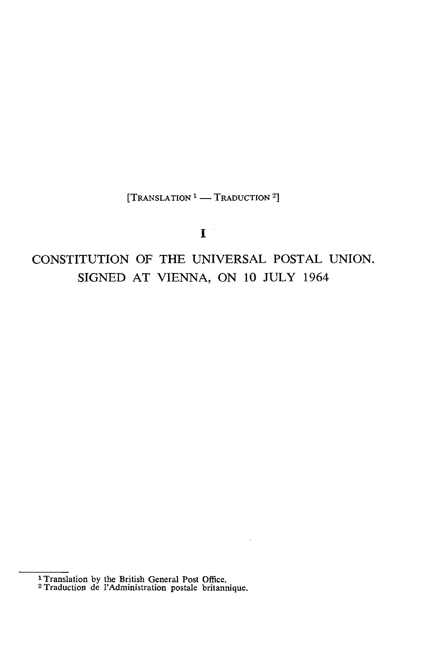[TRANSLATION *1 —* TRADUCTION 2]

# $\mathbf{I}$

# CONSTITUTION OF THE UNIVERSAL POSTAL UNION. SIGNED AT VIENNA, ON 10 JULY 1964

1 Translation by the British General Post Office.

2 Traduction de l'Administration postale britannique.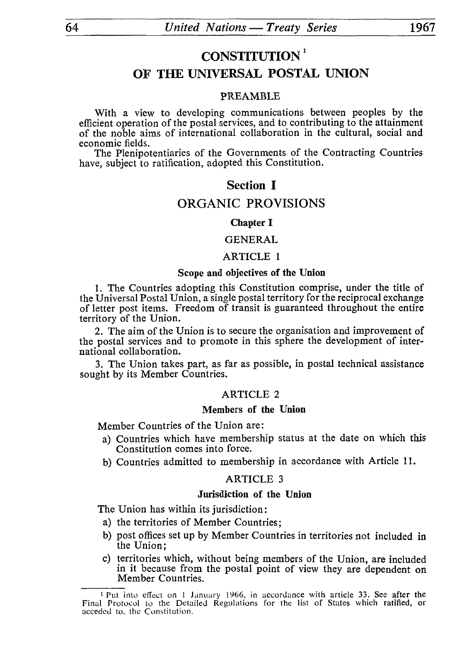# **CONSTITUTION <sup>1</sup>**

# **OF THE UNIVERSAL POSTAL UNION**

# PREAMBLE

With a view to developing communications between peoples by the efficient operation of the postal services, and to contributing to the attainment of the noble aims of international collaboration in the cultural, social and economic fields.

The Plenipotentiaries of the Governments of the Contracting Countries have, subject to ratification, adopted this Constitution.

# **Section I**

# ORGANIC PROVISIONS

#### Chapter I

# **GENERAL**

## ARTICLE 1

# **Scope and objectives of the Union**

1. The Countries adopting this Constitution comprise, under the title of the Universal Postal Union, a single postal territory for the reciprocal exchange of letter post items. Freedom of transit is guaranteed throughout the entire territory of the Union.

2. The aim of the Union is to secure the organisation and improvement of the postal services and to promote in this sphere the development of inter national collaboration.

3. The Union takes part, as far as possible, in postal technical assistance sought by its Member Countries.

# ARTICLE 2

# **Members of the Union**

Member Countries of the Union are:

- a) Countries which have membership status at the date on which this Constitution comes into force.
- b) Countries admitted to membership in accordance with Article 11.

#### ARTICLE 3

#### **Jurisdiction of the Union**

The Union has within its jurisdiction :

- a) the territories of Member Countries ;
- b) post offices set up by Member Countries in territories not included in the Union;
- c) territories which, without being members of the Union, are included in it because from the postal point of view they are dependent on Member Countries.

<sup>1</sup> Put into effect on 1 January 1966, in accordance with article 33. See after the Final Protocol to the Detailed Regulations for the list of States which ratified, or acceded to, the Constitution.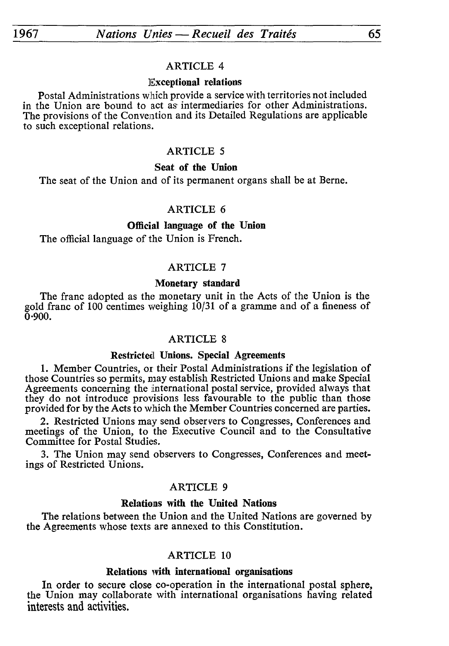#### **Exceptional relations**

Postal Administrations which provide a service with territories not included in the Union are bound to act as intermediaries for other Administrations. The provisions of the Convention and its Detailed Regulations are applicable to such exceptional relations.

# ARTICLE 5

#### **Seat of the Union**

The seat of the Union and of its permanent organs shall be at Berne.

# ARTICLE 6

# **Official language of the Union**

The official language of the Union is French.

# ARTICLE 7

# **Monetary standard**

The franc adopted as the monetary unit in the Acts of the Union is the gold franc of 100 centimes weighing 10/31 of a gramme and of a fineness of  $\bar{0}$ <sup>.</sup>900.

#### ARTICLE 8

#### **Restricted Unions. Special Agreements**

1. Member Countries, or their Postal Administrations if the legislation of those Countries so permits, may establish Restricted Unions and make Special Agreements concerning the international postal service, provided always that they do not introduce provisions less favourable to the public than those provided for by the Acts to which the Member Countries concerned are parties.

2. Restricted Unions may send observers to Congresses, Conferences and meetings of the Union, to the Executive Council and to the Consultative Committee for Postal Studies.

3. The Union may send observers to Congresses, Conferences and meet ings of Restricted Unions.

# ARTICLE 9

# **Relations with the United Nations**

The relations between the Union and the United Nations are governed by the Agreements whose texts are annexed to this Constitution.

#### ARTICLE 10

## **Relations with international organisations**

In order to secure close co-operation in the international postal sphere, the Union may collaborate with international organisations having related interests and activities.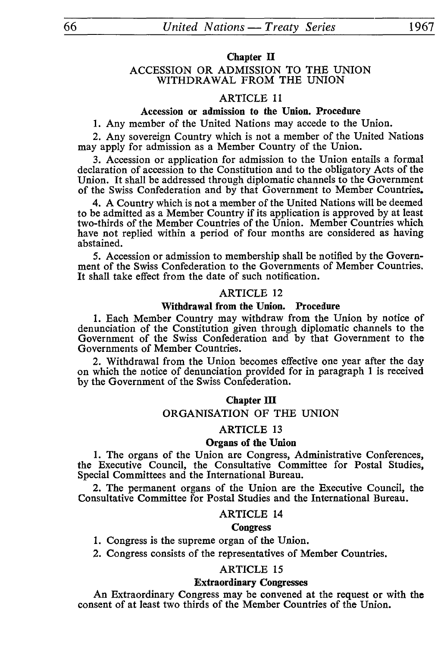# **Chapter II**

# ACCESSION OR ADMISSION TO THE UNION WITHDRAWAL FROM THE UNION

# **ARTICLE 11**

# **Accession or admission to the Union. Procedure**

1. Any member of the United Nations may accede to the Union.

2. Any sovereign Country which is not a member of the United Nations may apply for admission as a Member Country of the Union.

3. Accession or application for admission to the Union entails a formal declaration of accession to the Constitution and to the obligatory Acts of the Union. It shall be addressed through diplomatic channels to the Government of the Swiss Confederation and by that Government to Member Countries.

4. A Country which is not a member of the United Nations will be deemed to be admitted as a Member Country if its application is approved by at least two-thirds of the Member Countries of the Union. Member Countries which have not replied within a period of four months are considered as having abstained.

5. Accession or admission to membership shall be notified by the Govern ment of the Swiss Confederation to the Governments of Member Countries. It shall take effect from the date of such notification.

# **ARTICLE 12**

#### **Withdrawal from the Union. Procedure**

1. Each Member Country may withdraw from the Union by notice of denunciation of the Constitution given through diplomatic channels to the Government of the Swiss Confederation and by that Government to the Governments of Member Countries.

2. Withdrawal from the Union becomes effective one year after the day on which the notice of denunciation provided for in paragraph 1 is received by the Government of the Swiss Confederation.

#### **Chapter III**

# **ORGANISATION OF THE UNION**

#### **ARTICLE 13**

# **Organs of the Union**

1. The organs of the Union are Congress, Administrative Conferences, the Executive Council, the Consultative Committee for Postal Studies, Special Committees and the International Bureau.

2. The permanent organs of the Union are the Executive Council, the Consultative Committee for Postal Studies and the International Bureau.

#### **ARTICLE 14**

#### **Congress**

- 1. Congress is the supreme organ of the Union.
- 2. Congress consists of the representatives of Member Countries.

# **ARTICLE 15**

#### **Extraordinary Congresses**

An Extraordinary Congress may be convened at the request or with the consent of at least two thirds of the Member Countries of the Union.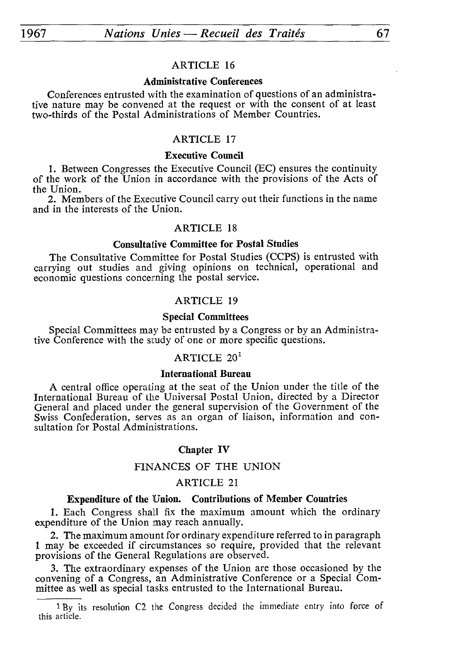# **Administrative Conférences**

Conferences entrusted with the examination of questions of an administra tive nature may be convened at the request or with the consent of at least two-thirds of the Postal Administrations of Member Countries.

# ARTICLE 17

# **Executive Council**

1. Between Congresses the Executive Council (EC) ensures the continuity of the work of the Union in accordance with the provisions of the Acts of the Union.

2. Members of the Executive Council carry out their functions in the name and in the interests of the Union.

# ARTICLE 18

## **Consultative Committee for Postal Studies**

The Consultative Committee for Postal Studies (CCPS) is entrusted with carrying out studies and giving opinions on technical, operational and economic questions concerning the postal service.

# ARTICLE 19

# **Special Committees**

Special Committees may be entrusted by a Congress or by an Administra tive Conference with the study of one or more specific questions.

# ARTICLE  $20<sup>1</sup>$

#### **International Bureau**

A central office operating at the seat of the Union under the title of the International Bureau of the Universal Postal Union, directed by a Director General and placed under the general supervision of the Government of the Swiss Confederation, serves as an organ of liaison, information and con sultation for Postal Administrations.

#### **Chapter IV**

# FINANCES OF THE UNION

# ARTICLE 21

#### **Expenditure of the Union. Contributions of Member Countries**

1. Each Congress shall fix the maximum amount which the ordinary expenditure of the Union may reach annually.

2. The maximum amount for ordinary expenditure referred to in paragraph 1 may be exceeded if circumstances so require, provided that the relevant provisions of the General Regulations are observed.

3. The extraordinary expenses of the Union are those occasioned by the convening of a Congress, an Administrative Conference or a Special Com mittee as well as special tasks entrusted to the International Bureau.

<sup>&</sup>lt;sup>1</sup> By its resolution C2 the Congress decided the immediate entry into force of this article.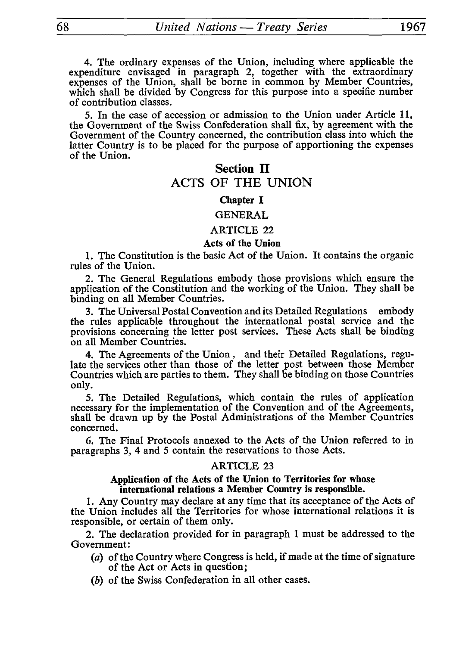4. The ordinary expenses of the Union, including where applicable the expenditure envisaged in paragraph 2, together with the extraordinary expenses of the Union, shall be borne in common by Member Countries, which shall be divided by Congress for this purpose into a specific number of contribution classes.

5. In the case of accession or admission to the Union under Article 11, the Government of the Swiss Confederation shall fix, by agreement with the Government of the Country concerned, the contribution class into which the latter Country is to be placed for the purpose of apportioning the expenses of the Union.

# **Section II** ACTS OF THE UNION

# **Chapter I**

#### GENERAL

# ARTICLE 22

#### **Acts of the Union**

1. The Constitution is the basic Act of the Union. It contains the organic rules of the Union.

2. The General Regulations embody those provisions which ensure the application of the Constitution and the working of the Union. They shall be binding on all Member Countries.

3. The Universal Postal Convention and its Detailed Regulations embody the rules applicable throughout the international postal service and the provisions concerning the letter post services. These Acts shall be binding on all Member Countries.

4. The Agreements of the Union, and their Detailed Regulations, regu late the services other than those of the letter post between those Member Countries which are parties to them. They shall be binding on those Countries only.

5. The Detailed Regulations, which contain the rules of application necessary for the implementation of the Convention and of the Agreements, shall be drawn up by the Postal Administrations of the Member Countries concerned.

6. The Final Protocols annexed to the Acts of the Union referred to in paragraphs 3, 4 and 5 contain the reservations to those Acts.

#### ARTICLE 23

#### **Application of the Acts of the Union to Territories for whose international relations a Member Country is responsible.**

1. Any Country may declare at any time that its acceptance of the Acts of the Union includes all the Territories for whose international relations it is responsible, or certain of them only.

2. The declaration provided for in paragraph 1 must be addressed to the Government:

- *(a)* of the Country where Congress is held, if made at the time of signature of the Act or Acts in question;
- *(b)* of the Swiss Confederation in all other cases.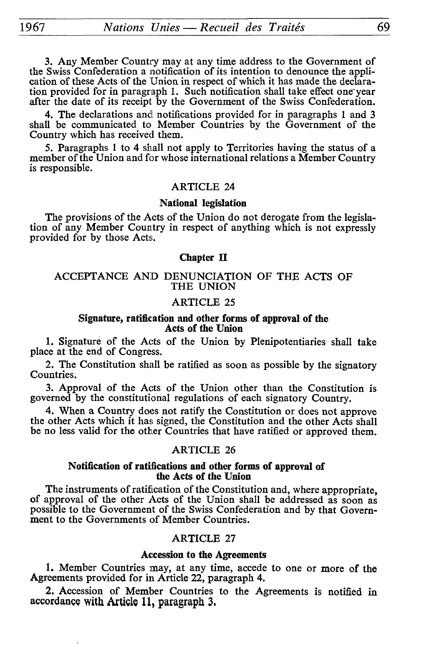3. Any Member Country may at any time address to the Government of the Swiss Confederation a notification of its intention to denounce the appli cation of these Acts of the Union in respect of which it has made the declaration provided for in paragraph 1. Such notification shall take effect one year after the date of its receipt by the Government of the Swiss Confederation.

4. The declarations and notifications provided for in paragraphs 1 and 3 shall be communicated to Member Countries by the Government of the Country which has received them.

5. Paragraphs 1 to 4 shall not apply to Territories having the status of a member of the Union and for whose international relations a Member Country is responsible.

#### ARTICLE 24

# **National legislation**

The provisions of the Acts of the Union do not derogate from the legisla tion of any Member Country in respect of anything which is not expressly provided for by those Acts.

#### **Chapter II**

## ACCEPTANCE AND DENUNCIATION OF THE ACTS OF THE UNION

# ARTICLE 25

#### **Signature, ratification and other forms of approval of the Acts of the Union**

1. Signature of the Acts of the Union by Plenipotentiaries shall take place at the end of Congress.

2. The Constitution shall be ratified as soon as possible by the signatory Countries.

3. Approval of the Acts of the Union other than the Constitution is governed by the constitutional regulations of each signatory Country.

4. When a Country does not ratify the Constitution or does not approve the other Acts which it has signed, the Constitution and the other Acts shall be no less valid for the other Countries that have ratified or approved them.

# ARTICLE 26

#### **Notification of ratifications and other forms of approval of the Acts of the Union**

The instruments of ratification of the Constitution and, where appropriate, of approval of the other Acts of the Union shall be addressed as soon as possible to the Government of the Swiss Confederation and by that Govern ment to the Governments of Member Countries.

# ARTICLE 27

# **Accession to the Agreements**

1. Member Countries may, at any time, accede to one or more of the Agreements provided for in Article 22, paragraph 4.

2. Accession of Member Countries to the Agreements is notified in accordance with Article 11, paragraph 3.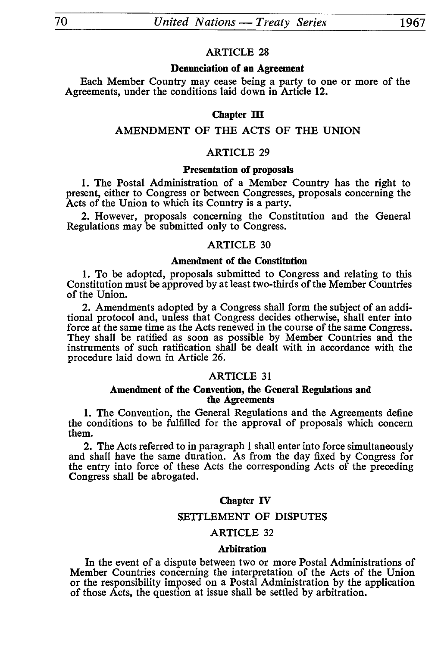#### **Denunciation of an Agreement**

Each Member Country may cease being a party to one or more of the Agreements, under the conditions laid down in Article 12.

# Chapter III

# AMENDMENT OF THE ACTS OF THE UNION

# ARTICLE 29

#### **Presentation of proposals**

1. The Postal Administration of a Member Country has the right to present, either to Congress or between Congresses, proposals concerning the Acts of the Union to which its Country is a party.

2. However, proposals concerning the Constitution and the General Regulations may be submitted only to Congress.

### ARTICLE 30

#### **Amendment of the Constitution**

1. To be adopted, proposals submitted to Congress and relating to this Constitution must be approved by at least two-thirds of the Member Countries of the Union.

2. Amendments adopted by a Congress shall form the subject of an addi tional protocol and, unless that Congress decides otherwise, shall enter into force at the same time as the Acts renewed in the course of the same Congress. They shall be ratified as soon as possible by Member Countries and the instruments of such ratification shall be dealt with in accordance with the procedure laid down in Article 26.

# ARTICLE 31

#### **Amendment of the Convention, the General Regulations and the Agreements**

1. The Convention, the General Regulations and the Agreements define the conditions to be fulfilled for the approval of proposals which concern them.

2. The Acts referred to in paragraph 1 shall enter into force simultaneously and shall have the same duration. As from the day fixed by Congress for the entry into force of these Acts the corresponding Acts of the preceding Congress shall be abrogated.

#### **Chapter IV**

# SETTLEMENT OF DISPUTES

# ARTICLE 32

#### Arbitration

In the event of a dispute between two or more Postal Administrations of Member Countries concerning the interpretation of the Acts of the Union or the responsibility imposed on a Postal Administration by the application of those Acts, the question at issue shall be settled by arbitration.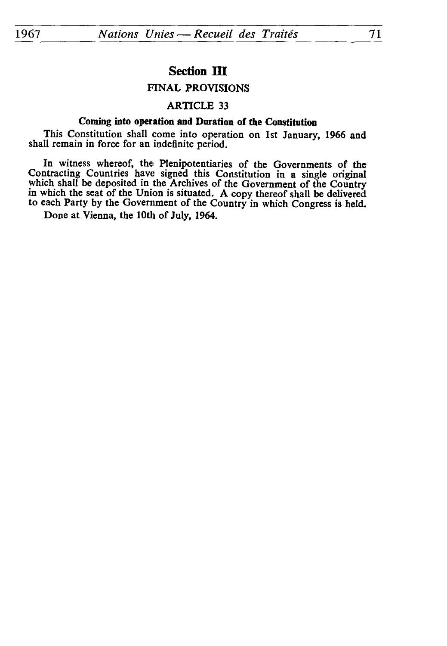# **Section III**

# FINAL PROVISIONS

# ARTICLE 33

# **Coming into operation and Duration of the Constitution**

This Constitution shall come into operation on 1st January, 1966 and shall remain in force for an indefinite period.

In witness whereof, the Plenipotentiaries of the Governments of the Contracting Countries have signed this Constitution in a single original which shall be deposited in the Archives of the Government of the Country in which the seat of the Union is situated. A copy thereof shall be delivered to each Party by the Government of the Country in which Congress is held.

Done at Vienna, the 10th of July, 1964.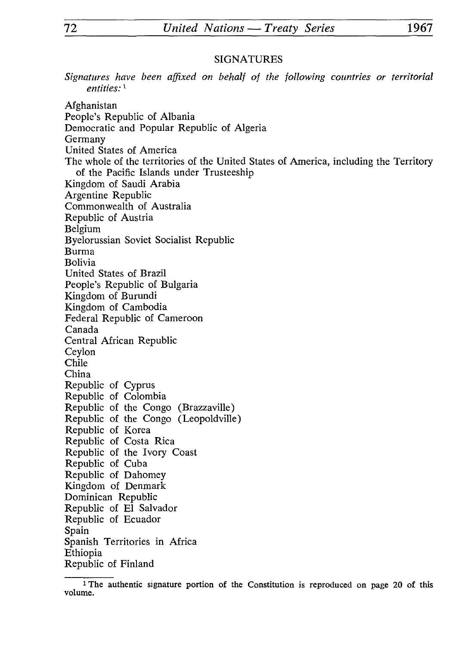# SIGNATURES

*Signatures have been affixed on behalf of the following countries or territorial entities: l* Afghanistan People's Republic of Albania Democratic and Popular Republic of Algeria Germany United States of America The whole of the territories of the United States of America, including the Territory of the Pacific Islands under Trusteeship Kingdom of Saudi Arabia Argentine Republic Commonwealth of Australia Republic of Austria Belgium Byelorussian Soviet Socialist Republic Burma Bolivia United States of Brazil People's Republic of Bulgaria Kingdom of Burundi Kingdom of Cambodia Federal Republic of Cameroon Canada Central African Republic Ceylon Chile China Republic of Cyprus Republic of Colombia Republic of the Congo (Brazzaville) Republic of the Congo (Leopoldville) Republic of Korea Republic of Costa Rica Republic of the Ivory Coast Republic of Cuba Republic of Dahomey Kingdom of Denmark Dominican Republic Republic of El Salvador Republic of Ecuador Spain Spanish Territories in Africa Ethiopia Republic of Finland

<sup>&</sup>lt;sup>1</sup>The authentic signature portion of the Constitution is reproduced on page 20 of this volume.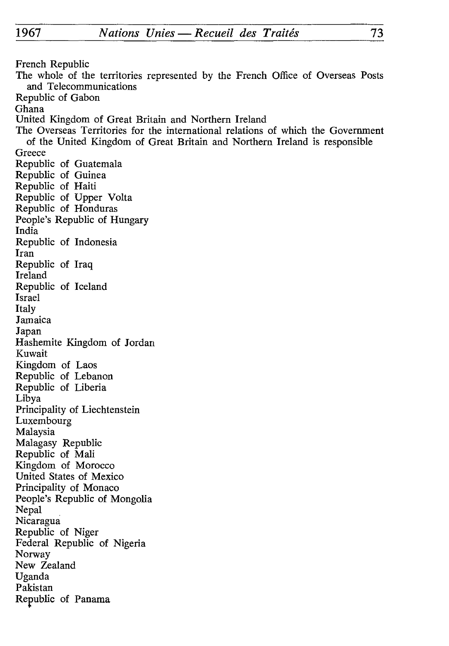French Republic The whole of the territories represented by the French Office of Overseas Posts and Telecommunications Republic of Gabon Ghana United Kingdom of Great Britain and Northern Ireland The Overseas Territories for the international relations of which the Government of the United Kingdom of Great Britain and Northern Ireland is responsible **Greece** Republic of Guatemala Republic of Guinea Republic of Haiti Republic of Upper Volta Republic of Honduras People's Republic of Hungary India Republic of Indonesia Iran Republic of Iraq Ireland Republic of Iceland Israel Italy Jamaica Japan Hashemite Kingdom of Jordan Kuwait Kingdom of Laos Republic of Lebanon Republic of Liberia Libya Principality of Liechtenstein Luxembourg Malaysia Malagasy Republic Republic of Mali Kingdom of Morocco United States of Mexico Principality of Monaco People's Republic of Mongolia Nepal Nicaragua Republic of Niger Federal Republic of Nigeria Norway New Zealand Uganda Pakistan Republic of Panama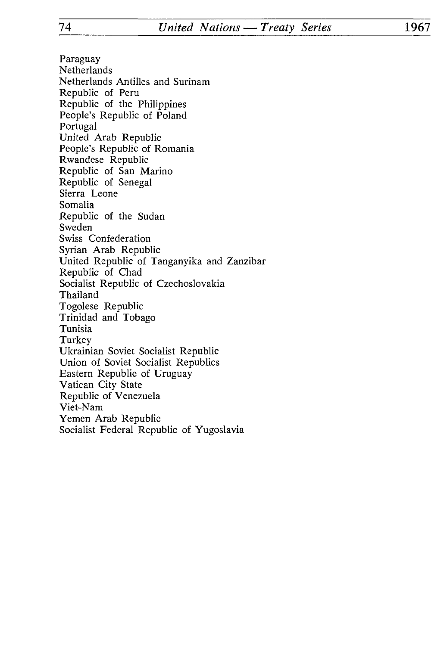Paraguay Netherlands Netherlands Antilles and Surinam Republic of Peru Republic of the Philippines People's Republic of Poland Portugal United Arab Republic People's Republic of Romania Rwandese Republic Republic of San Marino Republic of Senegal Sierra Leone Somalia Republic of the Sudan Sweden Swiss Confederation Syrian Arab Republic United Republic of Tanganyika and Zanzibar Republic of Chad Socialist Republic of Czechoslovakia Thailand Togolese Republic Trinidad and Tobago Tunisia Turkey Ukrainian Soviet Socialist Republic Union of Soviet Socialist Republics Eastern Republic of Uruguay Vatican City State Republic of Venezuela Viet-Nam Yemen Arab Republic Socialist Federal Republic of Yugoslavia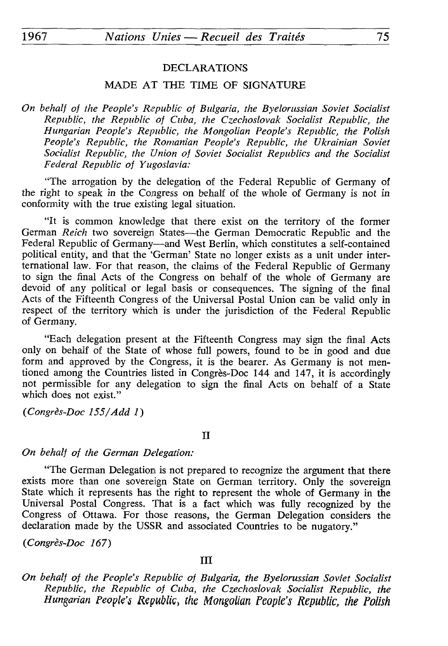# DECLARATIONS

# MADE AT THE TIME OF SIGNATURE

*On behalf of the People's Republic of Bulgaria, the Byelorussian Soviet Socialist Republic, the Republic of Cuba, the Czechoslovak Socialist Republic, the Hungarian People's Republic, the Mongolian People's Republic, the Polish People's Republic, the Romanian People's Republic, the Ukrainian Soviet Socialist Republic, the Union of Soviet Socialist Republics and the Socialist Federal Republic of Yugoslavia:*

"The arrogation by the delegation of the Federal Republic of Germany of the right to speak in the Congress on behalf of the whole of Germany is not in conformity with the true existing legal situation.

"It is common knowledge that there exist on the territory of the former German *Reich* two sovereign States—the German Democratic Republic and the Federal Republic of Germany—and West Berlin, which constitutes a self-contained political entity, and that the 'German' State no longer exists as a unit under interternational law. For that reason, the claims of the Federal Republic of Germany to sign the final Acts of the Congress on behalf of the whole of Germany are devoid of any political or legal basis or consequences. The signing of the final Acts of the Fifteenth Congress of the Universal Postal Union can be valid only in respect of the territory which is under the jurisdiction of the Federal Republic of Germany.

"Each delegation present at the Fifteenth Congress may sign the final Acts only on behalf of the State of whose full powers, found to be in good and due form and approved by the Congress, it is the bearer. As Germany is not mentioned among the Countries listed in Congrès-Doc 144 and 147, it is accordingly not permissible for any delegation to sign the final Acts on behalf of a State which does not exist."

*(Congrès-Doc 155/Add 1)*

#### II

# *On behalf of the German Delegation:*

"The German Delegation is not prepared to recognize the argument that there exists more than one sovereign State on German territory. Only the sovereign State which it represents has the right to represent the whole of Germany in the Universal Postal Congress. That is a fact which was fully recognized by the Congress of Ottawa. For those reasons, the German Delegation considers the declaration made by the USSR and associated Countries to be nugatory."

*(Congrès-Doc 167)*

# III

*On behalf of the People's Republic of Bulgaria, the Byelorussian Soviet Socialist Republic, the Republic of Cuba, the Czechoslovak Socialist Republic, the Hungarian People's Republic, the Mongolian People's Republic, the Polish*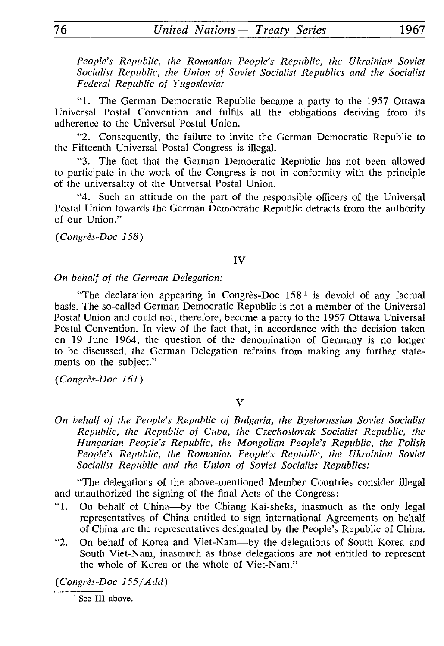*People's Republic, the Romanian People's Republic, the Ukrainian Soviet Socialist Republic, the Union of Soviet Socialist Republics and the Socialist Federal Republic of Yugoslavia:*

"1. The German Democratic Republic became a party to the 1957 Ottawa Universal Postal Convention and fulfils all the obligations deriving from its adherence to the Universal Postal Union.

"2. Consequently, the failure to invite the German Democratic Republic to the Fifteenth Universal Postal Congress is illegal.

"3. The fact that the German Democratic Republic has not been allowed to participate in the work of the Congress is not in conformity with the principle of the universality of the Universal Postal Union.

"4. Such an attitude on the part of the responsible officers of the Universal Postal Union towards the German Democratic Republic detracts from the authority of our Union."

*(Congrès-Doc 158)*

# IV

# *On behalf of the German Delegation:*

"The declaration appearing in Congrès-Doc  $158<sup>1</sup>$  is devoid of any factual basis. The so-called German Democratic Republic is not a member of the Universal Postal Union and could not, therefore, become a party to the 1957 Ottawa Universal Postal Convention. In view of the fact that, in accordance with the decision taken on 19 June 1964, the question of the denomination of Germany is no longer to be discussed, the German Delegation refrains from making any further state ments on the subject."

*(Congrès-Doc 161)*

# V

*On behalf of the People's Republic of Bulgaria, the Byelorussian Soviet Socialist Republic, the Republic of Cuba, the Czechoslovak Socialist Republic, the Hungarian People's Republic, the Mongolian People's Republic, the Polish People's Republic, the Romanian People's Republic, the Ukrainian Soviet Socialist Republic and the Union of Soviet Socialist Republics:*

"The delegations of the above-mentioned Member Countries consider illegal and unauthorized the signing of the final Acts of the Congress:

- "1. On behalf of China-by the Chiang Kai-sheks, inasmuch as the only legal representatives of China entitled to sign international Agreements on behalf of China are the representatives designated by the People's Republic of China.
- "2. On behalf of Korea and Viet-Nam-by the delegations of South Korea and South Viet-Nam, inasmuch as those delegations are not entitled to represent the whole of Korea or the whole of Viet-Nam."

*(Congrès-Doc 155/Add)*

<sup>1</sup> See III above.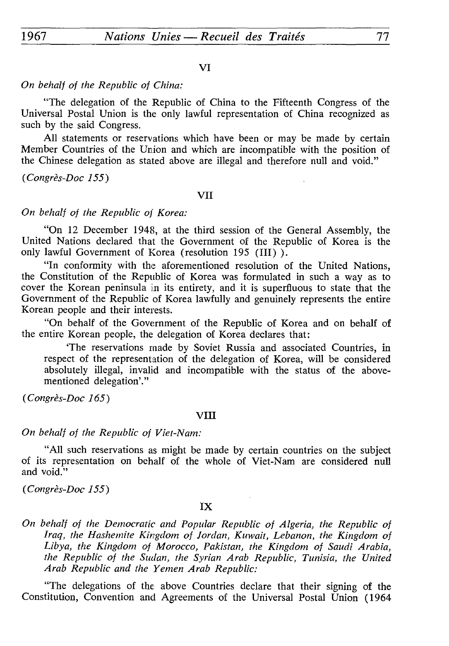## VI

# *On behalf of the Republic of China:*

"The delegation of the Republic of China to the Fifteenth Congress of the Universal Postal Union is the only lawful representation of China recognized as such by the said Congress.

All statements or reservations which have been or may be made by certain Member Countries of the Union and which are incompatible with the position of the Chinese delegation as stated above are illegal and therefore null and void."

*(Congrès-Doc 155)*

# VII

*On behalf of the Republic of Korea:*

"On 12 December 1948, at the third session of the General Assembly, the United Nations declared that the Government of the Republic of Korea is the only lawful Government of Korea (resolution 195 (III) ).

"In conformity with the aforementioned resolution of the United Nations, the Constitution of the Republic of Korea was formulated in such a way as to cover the Korean peninsula in its entirety, and it is superfluous to state that the Government of the Republic of Korea lawfully and genuinely represents the entire Korean people and their interests.

"On behalf of the Government of the Republic of Korea and on behalf of the entire Korean people, the delegation of Korea declares that:

'The reservations made by Soviet Russia and associated Countries, in respect of the representation of the delegation of Korea, will be considered absolutely illegal, invalid and incompatible with the status of the abovementioned delegation'."

*(Congrès-Doc 165)*

#### VIII

*On behalf of the Republic of Viet-Nam:*

"All such reservations as might be made by certain countries on the subject of its representation on behalf of the whole of Viet-Nam are considered null and void."

*(Congrès-Doc 155)*

# IX

*On behalf of the Democratic and Popular Republic of Algeria, the Republic of Iraq, the Hashemite Kingdom of Jordan, Kuwait, Lebanon, the Kingdom of Libya, the Kingdom of Morocco, Pakistan, the Kingdom of Saudi Arabia, the Republic of the Sudan, the Syrian Arab Republic, Tunisia, the United Arab Republic and the Yemen Arab Republic:*

"The delegations of the above Countries declare that their signing of the Constitution, Convention and Agreements of the Universal Postal Union (1964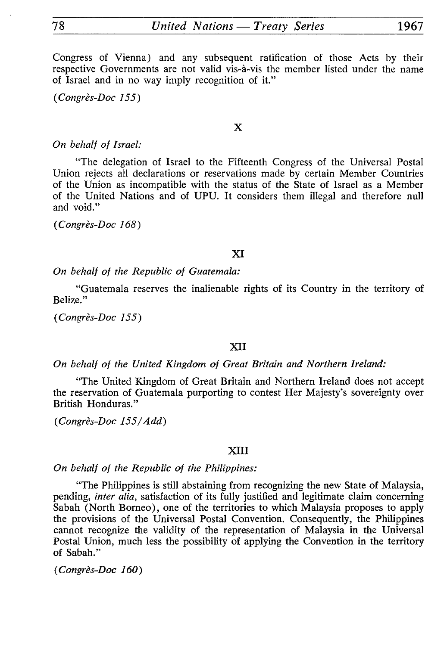Congress of Vienna) and any subsequent ratification of those Acts by their respective Governments are not valid vis-à-vis the member listed under the name of Israel and in no way imply recognition of it."

*(Congrès-Doc 155)*

X

#### *On behalf of Israel:*

"The delegation of Israel to the Fifteenth Congress of the Universal Postal Union rejects all declarations or reservations made by certain Member Countries of the Union as incompatible with the status of the State of Israel as a Member of the United Nations and of UPU. It considers them illegal and therefore null and void."

*(Congrès-Doc 168)*

## XI

*On behalf of the Republic of Guatemala:*

"Guatemala reserves the inalienable rights of its Country in the territory of Belize."

*(Congrès-Doc 155)*

# XII

#### *On behalf of the United Kingdom of Great Britain and Northern Ireland:*

"The United Kingdom of Great Britain and Northern Ireland does not accept the reservation of Guatemala purporting to contest Her Majesty's sovereignty over British Honduras."

*(Congrès-Doc 155/Add)*

#### XIII

*On behalf of the Republic of the Philippines:*

"The Philippines is still abstaining from recognizing the new State of Malaysia, pending, *inter alia,* satisfaction of its fully justified and legitimate claim concerning Sabah (North Borneo), one of the territories to which Malaysia proposes to apply the provisions of the Universal Postal Convention. Consequently, the Philippines cannot recognize the validity of the representation of Malaysia in the Universal Postal Union, much less the possibility of applying the Convention in the territory of Sabah."

*(Congrès-Doc 160)*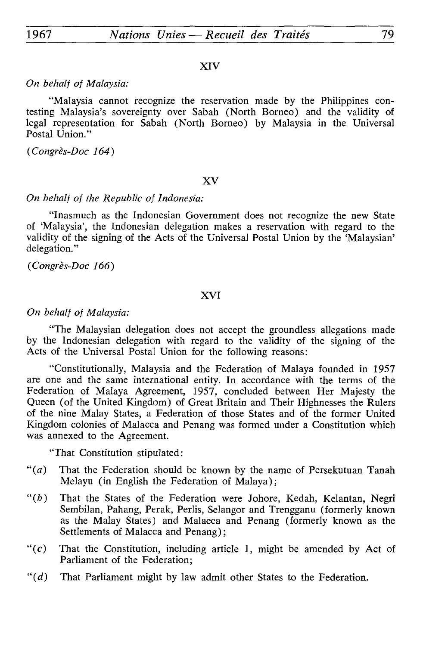# XIV

# *On behalf of Malaysia:*

"Malaysia cannot recognize the reservation made by the Philippines con testing Malaysia's sovereignty over Sabah (North Borneo) and the validity of legal representation for Sabah (North Borneo) by Malaysia in the Universal Postal Union."

*(Congrès-Doc 164)*

## XV

# *On behalf of the Republic of Indonesia:*

"Inasmuch as the Indonesian Government does not recognize the new State of 'Malaysia', the Indonesian delegation makes a reservation with regard to the validity of the signing of the Acts of the Universal Postal Union by the 'Malaysian' delegation."

*(Congrès-Doc 166)*

# XVI

#### *On behalf of Malaysia:*

"The Malaysian delegation does not accept the groundless allegations made by the Indonesian delegation with regard to the validity of the signing of the Acts of the Universal Postal Union for the following reasons:

"Constitutionally, Malaysia and the Federation of Malaya founded in 1957 are one and the same international entity. In accordance with the terms of the Federation of Malaya Agreement, 1957, concluded between Her Majesty the Queen (of the United Kingdom) of Great Britain and Their Highnesses the Rulers of the nine Malay States, a Federation of those States and of the former United Kingdom colonies of Malacca and Penang was formed under a Constitution which was annexed to the Agreement.

"That Constitution stipulated:

- $\mathfrak{m}(a)$  That the Federation should be known by the name of Persekutuan Tanah Melayu (in English the Federation of Malaya);
- *"(b)* That the States of the Federation were Johore, Kedah, Kelantan, Negri Sembilan, Pahang, Perak, Perlis, Selangor and Trengganu (formerly known as the Malay States) and Malacca and Penang (formerly known as the Settlements of Malacca and Penang);
- " $(c)$  That the Constitution, including article 1, might be amended by Act of Parliament of the Federation;
- $((d)$  That Parliament might by law admit other States to the Federation.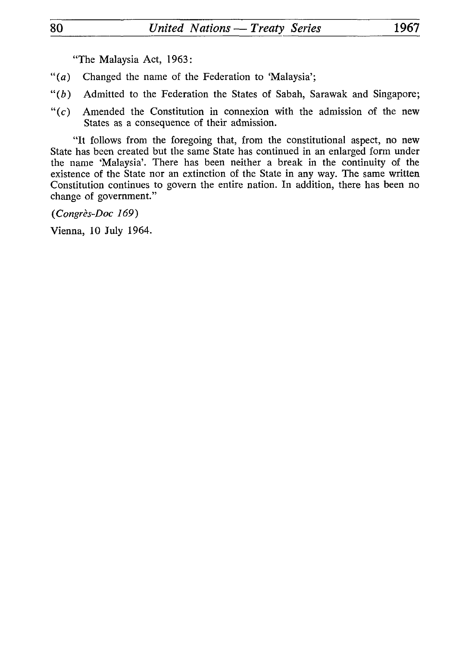"The Malaysia Act, 1963:

- *"(a)* Changed the name of the Federation to 'Malaysia';
- $"(b)$  Admitted to the Federation the States of Sabah, Sarawak and Singapore;
- " $(c)$  Amended the Constitution in connexion with the admission of the new States as a consequence of their admission.

"It follows from the foregoing that, from the constitutional aspect, no new State has been created but the same State has continued in an enlarged form under the name 'Malaysia'. There has been neither a break in the continuity of the existence of the State nor an extinction of the State in any way. The same written Constitution continues to govern the entire nation. In addition, there has been no change of government."

*(Congres-Doc 169)* 

Vienna, 10 July 1964.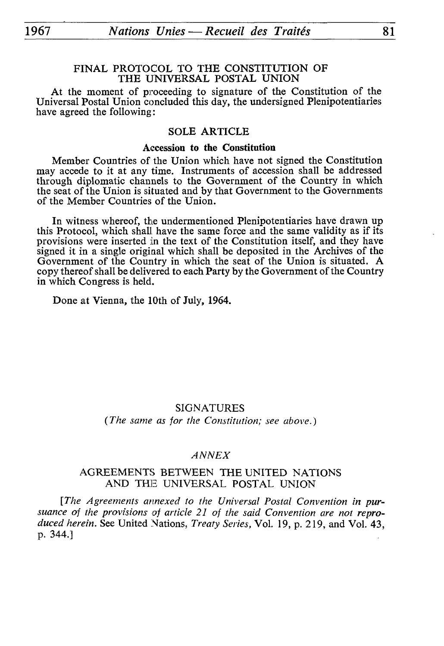# FINAL PROTOCOL TO THE CONSTITUTION OF THE UNIVERSAL POSTAL UNION

At the moment of proceeding to signature of the Constitution of the Universal Postal Union concluded this day, the undersigned Plenipotentiaries have agreed the following:

# SOLE ARTICLE

#### **Accession to the Constitution**

Member Countries of the Union which have not signed the Constitution may accede to it at any time. Instruments of accession shall be addressed through diplomatic channels to the Government of the Country in which the seat of the Union is situated and by that Government to the Governments of the Member Countries of the Union.

In witness whereof, the undermentioned Plenipotentiaries have drawn up this Protocol, which shall have the same force and the same validity as if its provisions were inserted in the text of the Constitution itself, and they have signed it in a single original which shall be deposited in the Archives of the Government of the Country in which the seat of the Union is situated. A copy thereof shall be delivered to each Party by the Government of the Country in which Congress is held.

Done at Vienna, the 10th of July, 1964.

# SIGNATURES

*(The same as for the Constitution; see above.)*

# *ANNEX*

# AGREEMENTS BETWEEN THE UNITED NATIONS AND THE UNIVERSAL POSTAL UNION

[The Agreements annexed to the Universal Postal Convention in pursuance of the provisions of article 21 of the said Convention are not repro*duced herein.* See United Nations, *Treaty Series,* Vol. 19, p. 219, and Vol. 43, p. 344.]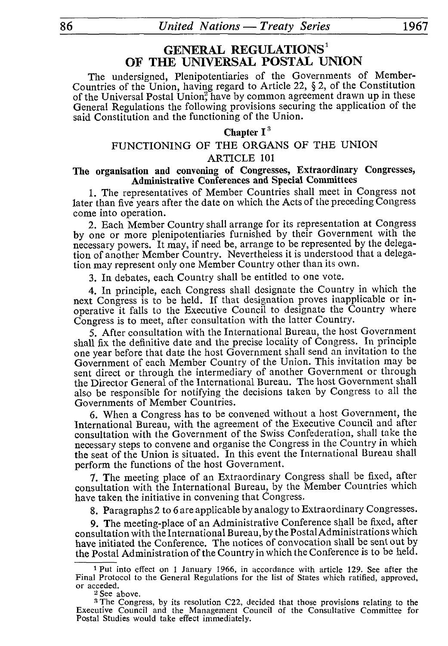# **GENERAL REGULATIONS <sup>1</sup> OF THE UNIVERSAL POSTAL UNION**

The undersigned, Plenipotentiaries of the Governments of Member-Countries of the Union, having regard to Article 22, § 2, of the Constitution of the Universal Postal Union? have by common agreement drawn up in these General Regulations the following provisions securing the application of the said Constitution and the functioning of the Union.

# **Chapter I <sup>3</sup>**

# FUNCTIONING OF THE ORGANS OF THE UNION

#### ARTICLE 101

# **The organisation and convening of Congresses, Extraordinary Congresses, Administrative Conferences and Special Committees**

1. The representatives of Member Countries shall meet in Congress not later than five years after the date on which the Acts of the preceding Congress come into operation.

2. Each Member Country shall arrange for its representation at Congress by one or more plenipotentiaries furnished by their Government with the necessary powers. It may, if need be, arrange to be represented by the delega tion of another Member Country. Nevertheless it is understood that a delega tion may represent only one Member Country other than its own.

3. In debates, each Country shall be entitled to one vote.

4. In principle, each Congress shall designate the Country in which the next Congress is to be held. If that designation proves inapplicable or in operative it falls to the Executive Council to designate the Country where Congress is to meet, after consultation with the latter Country.

5. After consultation with the International Bureau, the host Government shall fix the definitive date and the precise locality of Congress. In principle one year before that date the host Government shall send an invitation to the Government of each Member Country of the Union. This invitation may be sent direct or through the intermediary of another Government or through the Director General of the International Bureau. The host Government shall also be responsible for notifying the decisions taken by Congress to all the Governments of Member Countries.

6. When a Congress has to be convened without a host Government, the International Bureau, with the agreement of the Executive Council and after consultation with the Government of the Swiss Confederation, shall take the necessary steps to convene and organise the Congress in the Country in which the seat of the Union is situated. In this event the International Bureau shall perform the functions of the host Government.

7. The meeting place of an Extraordinary Congress shall be fixed, after consultation with the International Bureau, by the Member Countries which have taken the initiative in convening that Congress.

8. Paragraphs 2 to 6 are applicable by analogy to Extraordinary Congresses.

9. The meeting-place of an Administrative Conference shall be fixed, after consultation with the International Bureau, by the Postal Administrations which have initiated the Conference. The notices of convocation shall be sent out by the Postal Administration of the Country in which the Conference is to be held.

<sup>1</sup> Put into effect on 1 January 1966, in accordance with article 129. See after the Final Protocol to the General Regulations for the list of States which ratified, approved, or acceded.

<sup>&</sup>lt;sup>2</sup> See above.

<sup>3</sup> The Congress, by its resolution C22, decided that those provisions relating to the Executive Council and the Management Council of the Consultative Committee for Postal Studies would take effect immediately.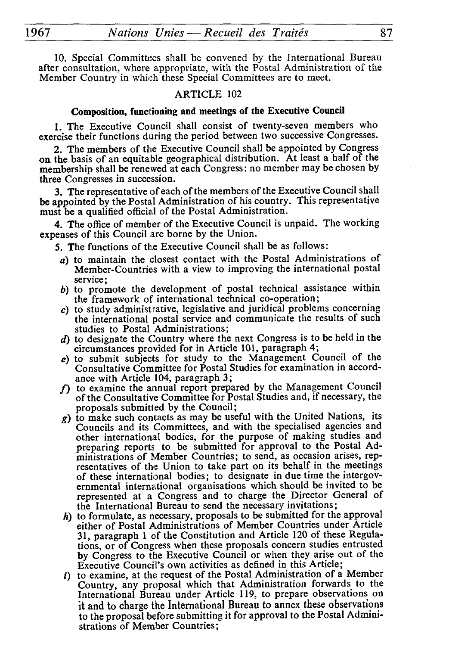1967\_\_\_\_\_\_*Nations Unies — Recueil des Traités*\_\_\_\_\_\_\_\_\_87

10. Special Committees shall be convened by the International Bureau after consultation, where appropriate, with the Postal Administration of the Member Country in which these Special Committees are to meet.

## ARTICLE 102

# Composition, functioning and meetings of the Executive Council

1. The Executive Council shall consist of twenty-seven members who exercise their functions during the period between two successive Congresses.

2. The members of the Executive Council shall be appointed by Congress on the basis of an equitable geographical distribution.  $\overline{A}$ t least a half of the membership shall be renewed at each Congress : no member may be chosen by three Congresses in succession.

3. The representative of each of the members of the Executive Council shall be appointed by the Postal Administration of his country. This representative must be a qualified official of the Postal Administration.

4. The office of member of the Executive Council is unpaid. The working expenses of this Council are borne by the Union.

5. The functions of the Executive Council shall be as follows :

- *a)* to maintain the closest contact with the Postal Administrations of Member-Countries with a view to improving the international postal service ;
- *b)* to promote the development of postal technical assistance within the framework of international technical co-operation;
- c) to study administrative, legislative and juridical problems concerning the international postal service and communicate the results of such studies to Postal Administrations;
- *d*) to designate the Country where the next Congress is to be held in the circumstances provided for in Article 101, paragraph 4;
- *e)* to submit subjects for study to the Management Council of the Consultative Committee for Postal Studies for examination in accord ance with Article 104, paragraph 3;
- *f)* to examine the annual report prepared by the Management Council of the Consultative Committee for Postal Studies and, if necessary, the proposals submitted by the Council ;
- *g)* to make such contacts as may be useful with the United Nations, its Councils and its Committees, and with the specialised agencies and other international bodies, for the purpose of making studies and preparing reports to be submitted for approval to the Postal Ad ministrations of Member Countries; to send, as occasion arises, rep resentatives of the Union to take part on its behalf in the meetings of these international bodies; to designate in due time the intergovernmental international organisations which should be invited to be represented at a Congress and to charge the Director General of the International Bureau to send the necessary invitations;
- *h)* to formulate, as necessary, proposals to be submitted for the approval either of Postal Administrations of Member Countries under Article 31, paragraph 1 of the Constitution and Article 120 of these Regula tions, or of Congress when these proposals concern studies entrusted by Congress to the Executive Council or when they arise out of the Executive Council's own activities as defined in this Article;
- $i)$  to examine, at the request of the Postal Administration of a Member Country, any proposal which that Administration forwards to the International Bureau under Article 119, to prepare observations on it and to charge the International Bureau to annex these observations to the proposal before submitting it for approval to the Postal Admini strations of Member Countries;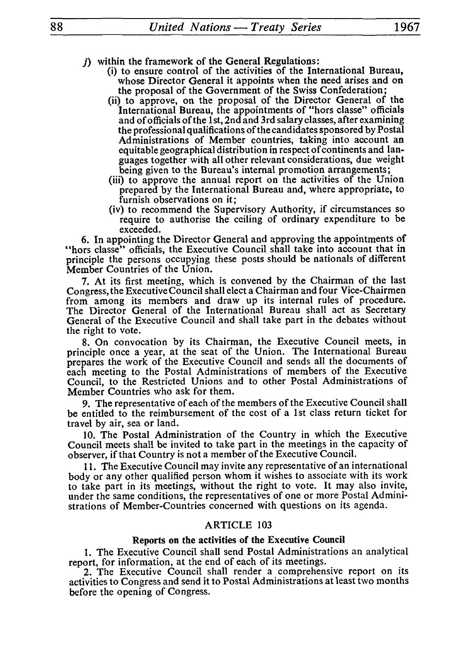- *j)* within the framework of the General Regulations:
	- (i) to ensure control of the activities of the International Bureau, whose Director General it appoints when the need arises and on the proposal of the Government of the Swiss Confederation;
	- (ii) to approve, on the proposal of the Director General of the International Bureau, the appointments of "hors classe" officials and of officials of the 1 st, 2nd and 3rd salary classes, after examining the professional qualifications of the candidates sponsored by Postal Administrations of Member countries, taking into account an equitable geographical distribution in respect of continents and lan guages together with all other relevant considerations, due weight being given to the Bureau's internal promotion arrangements;
	- (iii) to approve the annual report on the activities of the Union prepared by the International Bureau and, where appropriate, to furnish observations on it;
	- (iv) to recommend the Supervisory Authority, if circumstances so require to authorise the ceiling of ordinary expenditure to be exceeded.

6. In appointing the Director General and approving the appointments of "hors classe" officials, the Executive Council shall take into account that in principle the persons occupying these posts should be nationals of different Member Countries of the Union.

7. At its first meeting, which is convened by the Chairman of the last Congress, the Executive Council shall elect a Chairman and four Vice-Chairmen from among its members and draw up its internal rules of procedure. The Director General of the International Bureau shall act as Secretary General of the Executive Council and shall take part in the debates without the right to vote.

8. On convocation by its Chairman, the Executive Council meets, in principle once a year, at the seat of the Union. The International Bureau prepares the work of the Executive Council and sends all the documents of each meeting to the Postal Administrations of members of the Executive Council, to the Restricted Unions and to other Postal Administrations of Member Countries who ask for them.

9. The representative of each of the members of the Executive Council shall be entitled to the reimbursement of the cost of a 1st class return ticket for travel by air, sea or land.

10. The Postal Administration of the Country in which the Executive Council meets shall be invited to take part in the meetings in the capacity of observer, if that Country is not a member of the Executive Council.

11. The Executive Council may invite any representative of an international body or any other qualified person whom it wishes to associate with its work to take part in its meetings, without the right to vote. It may also invite, under the same conditions, the representatives of one or more Postal Admini strations of Member-Countries concerned with questions on its agenda.

#### ARTICLE 103

# Reports on the activities of the Executive Council

1. The Executive Council shall send Postal Administrations an analytical report, for information, at the end of each of its meetings.

2. The Executive Council shall render a comprehensive report on its activities to Congress and send it to Postal Administrations at least two months before the opening of Congress.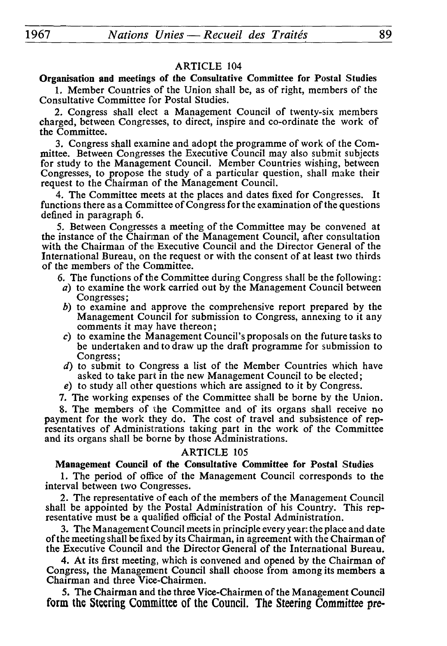# Organisation and meetings of the Consultative Committee for Postal Studies

1. Member Countries of the Union shall be, as of right, members of the Consultative Committee for Postal Studies.

2. Congress shall elect a Management Council of twenty-six members charged, between Congresses, to direct, inspire and co-ordinate the work of the Committee.

3. Congress shall examine and adopt the programme of work of the Com mittee. Between Congresses the Executive Council may also submit subjects for study to the Management Council. Member Countries wishing, between Congresses, to propose the study of a particular question, shall make their request to the Chairman of the Management Council.

4. The Committee meets at the places and dates fixed for Congresses. It functions there as a Committee of Congress for the examination of the questions defined in paragraph 6.

5. Between Congresses a meeting of the Committee may be convened at the instance of the Chairman of the Management Council, after consultation with the Chairman of the Executive Council and the Director General of the International Bureau, on the request or with the consent of at least two thirds of the members of the Committee.

6. The functions of the Committee during Congress shall be the following:

- *a)* to examine the work carried out by the Management Council between Congresses ;
- *b)* to examine and approve the comprehensive report prepared by the Management Council for submission to Congress, annexing to it any comments it may have thereon ;
- *c)* to examine the Management Council's proposals on the future tasks to be undertaken and to draw up the draft programme for submission to Congress ;
- *d)* to submit to Congress a list of the Member Countries which have asked to take part in the new Management Council to be elected ;

*e)* to study all other questions which are assigned to it by Congress.

7. The working expenses of the Committee shall be borne by the Union.

8. The members of the Committee and of its organs shall receive no payment for the work they do. The cost of travel and subsistence of rep resentatives of Administrations taking part in the work of the Committee and its organs shall be borne by those Administrations.

#### ARTICLE 105

#### Management Council of the Consultative Committee for Postal Studies

1. The period of office of the Management Council corresponds to the interval between two Congresses.

2. The representative of each of the members of the Management Council shall be appointed by the Postal Administration of his Country. This rep resentative must be a qualified official of the Postal Administration.

3. The Management Council meets in principle every year: the place and date of the meeting shall be fixed by its Chairman, in agreement with the Chairman of the Executive Council and the Director General of the International Bureau.

4. At its first meeting, which is convened and opened by the Chairman of Congress, the Management Council shall choose from among its members a Chairman and three Vice-Chairmen.

5. The Chairman and the three Vice-Chairmen of the Management Council form the Steering Committee of the Council. The Steering Committee pre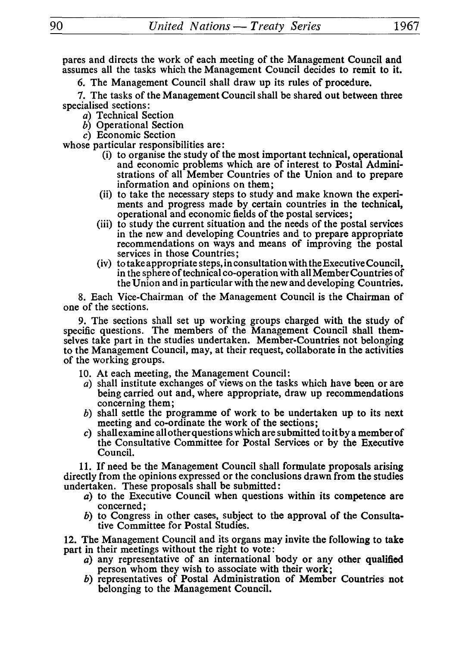pares and directs the work of each meeting of the Management Council and assumes all the tasks which the Management Council decides to remit to it.

6. The Management Council shall draw up its rules of procedure.

7. The tasks of the Management Council shall be shared out between three specialised sections:

- a) Technical Section
- *b)* Operational Section
- c) Economic Section

whose particular responsibilities are:

- (i) to organise the study of the most important technical, operational and economic problems which are of interest to Postal Admini strations of all Member Countries of the Union and to prepare information and opinions on them;
- (ii) to take the necessary steps to study and make known the experi ments and progress made by certain countries in the technical, operational and economic fields of the postal services;
- (iii) to study the current situation and the needs of the postal services in the new and developing Countries and to prepare appropriate recommendations on ways and means of improving the postal services in those Countries ;
- (iv) to take appropriate steps, in consultation with the Executive Council, in the sphere of technical co-operation with all Member Countries of the Union and in particular with the new and developing Countries.

8. Each Vice-Chairman of the Management Council is the Chairman of one of the sections.

9. The sections shall set up working groups charged with the study of specific questions. The members of the Management Council shall themselves take part in the studies undertaken. Member-Countries not belonging to the Management Council, may, at their request, collaborate in the activities of the working groups.

- 10. At each meeting, the Management Council:
- a) shall institute exchanges of views on the tasks which have been or are being carried out and, where appropriate, draw up recommendations concerning them;
- *b)* shall settle the programme of work to be undertaken up to its next meeting and co-ordinate the work of the sections;
- *c)* shall examine all other questions which are submitted to it by a member of the Consultative Committee for Postal Services or by the Executive Council.

11. If need be the Management Council shall formulate proposals arising directly from the opinions expressed or the conclusions drawn from the studies undertaken. These proposals shall be submitted :

- *a)* to the Executive Council when questions within its competence are concerned;
- *b)* to Congress in other cases, subject to the approval of the Consulta tive Committee for Postal Studies.

12. The Management Council and its organs may invite the following to take part in their meetings without the right to vote:

- *à)* any representative of an international body or any other qualified person whom they wish to associate with their work;
- *b)* representatives of Postal Administration of Member Countries not belonging to the Management Council.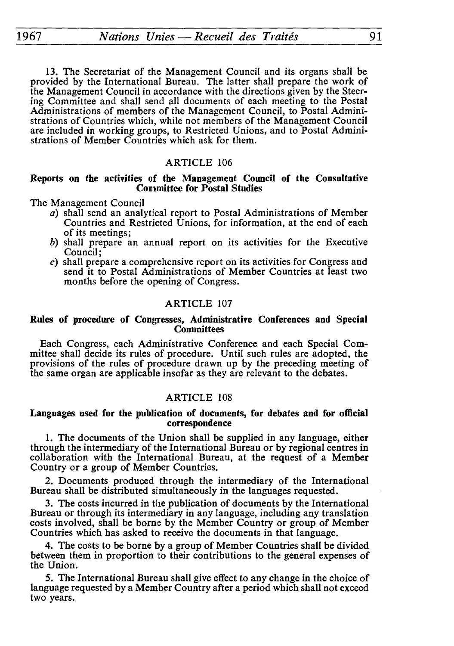13. The Secretariat of the Management Council and its organs shall be provided by the International Bureau. The latter shall prepare the work of the Management Council in accordance with the directions given by the Steer ing Committee and shall send all documents of each meeting to the Postal Administrations of members of the Management Council, to Postal Admini strations of Countries which, while not members of the Management Council are included in working groups, to Restricted Unions, and to Postal Admini strations of Member Countries which ask for them.

# ARTICLE 106

### **Reports on the activities of the Management Council of the Consultative Committee for Postal Studies**

The Management Council

- a) shall send an analytical report to Postal Administrations of Member Countries and Restricted Unions, for information, at the end of each of its meetings;
- *b)* shall prepare an annual report on its activities for the Executive Council ;
- *c)* shall prepare a comprehensive report on its activities for Congress and send it to Postal Administrations of Member Countries at least two months before the opening of Congress.

## ARTICLE 107

#### **Rules of procedure of Congresses, Administrative Conferences and Special Committees**

Each Congress, each Administrative Conference and each Special Com mittee shall decide its rules of procedure. Until such rules are adopted, the provisions of the rules of procedure drawn up by the preceding meeting of the same organ are applicable insofar as they are relevant to the debates.

# ARTICLE 108

#### **Languages used for the publication of documents, for debates and for official correspondence**

1. The documents of the Union shall be supplied in any language, either through the intermediary of the International Bureau or by regional centres in collaboration with the International Bureau, at the request of a Member Country or a group of Member Countries.

2. Documents produced through the intermediary of the International Bureau shall be distributed simultaneously in the languages requested.

3. The costs incurred in the publication of documents by the International Bureau or through its intermediary in any language, including any translation costs involved, shall be borne by the Member Country or group of Member Countries which has asked to receive the documents in that language.

4. The costs to be borne by a group of Member Countries shall be divided between them in proportion to their contributions to the general expenses of the Union.

5. The International Bureau shall give effect to any change in the choice of language requested by a Member Country after a period which shall not exceed two years.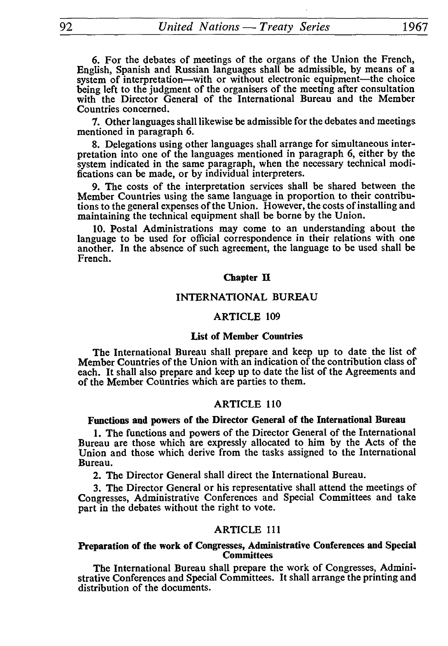6. For the debates of meetings of the organs of the Union the French, English, Spanish and Russian languages shall be admissible, by means of a system of interpretation—with or without electronic equipment—the choice being left to the judgment of the organisers of the meeting after consultation with the Director General of the International Bureau and the Member Countries concerned.

7. Other languages shall likewise be admissible for the debates and meetings mentioned in paragraph 6.

8. Delegations using other languages shall arrange for simultaneous inter pretation into one of the languages mentioned in paragraph 6, either by the system indicated in the same paragraph, when the necessary technical modi fications can be made, or by individual interpreters.

9. The costs of the interpretation services shall be shared between the Member Countries using the same language in proportion to their contribu tions to the general expenses of the Union. However, the costs of installing and maintaining the technical equipment shall be borne by the Union.

10. Postal Administrations may come to an understanding about the language to be used for official correspondence in their relations with one another. In the absence of such agreement, the language to be used shall be French.

#### Chapter **H**

#### INTERNATIONAL BUREAU

#### ARTICLE 109

# **List of Member Countries**

The International Bureau shall prepare and keep up to date the list of Member Countries of the Union with an indication of the contribution class of each. It shall also prepare and keep up to date the list of the Agreements and of the Member Countries which are parties to them.

#### ARTICLE 110

# **Functions and powers of the Director General of the International Bureau**

1. The functions and powers of the Director General of the International Bureau are those which are expressly allocated to him by the Acts of the Union and those which derive from the tasks assigned to the International Bureau.

2. The Director General shall direct the International Bureau.

3. The Director General or his representative shall attend the meetings of Congresses, Administrative Conferences and Special Committees and take part in the debates without the right to vote.

#### ARTICLE 111

#### **Preparation of the work of Congresses, Administrative Conferences and Special Committees**

The International Bureau shall prepare the work of Congresses, Admini strative Conferences and Special Committees. It shall arrange the printing and distribution of the documents.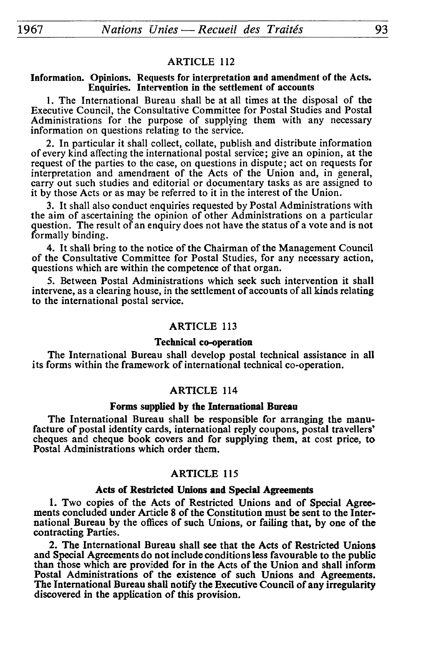#### Information. Opinions. Requests for interpretation and amendment of the Acts. Enquiries. Intervention in the settlement of accounts

1. The International Bureau shall be at all times at the disposal of the Executive Council, the Consultative Committee for Postal Studies and Postal Administrations for the purpose of supplying them with any necessary information on questions relating to the service.

2. In particular it shall collect, collate, publish and distribute information of every kind affecting the international postal service; give an opinion, at the request of the parties to the case, on questions in dispute ; act on requests for interpretation and amendment of the Acts of the Union and, in general, carry out such studies and editorial or documentary tasks as are assigned to it by those Acts or as may be referred to it in the interest of the Union.

3. It shall also conduct enquiries requested by Postal Administrations with the aim of ascertaining the opinion of other Administrations on a particular question. The result of an enquiry does not have the status of a vote and is not formally binding.

4. It shall bring to the notice of the Chairman of the Management Council of the Consultative Committee for Postal Studies, for any necessary action, questions which are within the competence of that organ.

5. Between Postal Administrations which seek such intervention it shall intervene, as a clearing house, in the settlement of accounts of all kinds relating to the international postal service.

#### ARTICLE 113

#### Technical co-operation

The International Bureau shall develop postal technical assistance in all its forms within the framework of international technical co-operation.

#### ARTICLE 114

#### Forms supplied by the International Bureau

The International Bureau shall be responsible for arranging the manu facture of postal identity cards, international reply coupons, postal travellers' cheques and cheque book covers and for supplying them, at cost price, to Postal Administrations which order them.

#### ARTICLE 115

#### Acts of Restricted Unions and Special Agreements

1. Two copies of the Acts of Restricted Unions and of Special Agree ments concluded under Article 8 of the Constitution must be sent to the Inter national Bureau by the offices of such Unions, or failing that, by one of the contracting Parties.

2. The International Bureau shall see that the Acts of Restricted Unions and Special Agreements do not include conditions less favourable to the public than those which are proviided for in the Acts of the Union and shall inform Postal Administrations of the existence of such Unions and Agreements. The International Bureau shall notify the Executive Council of any irregularity discovered in the application of this provision.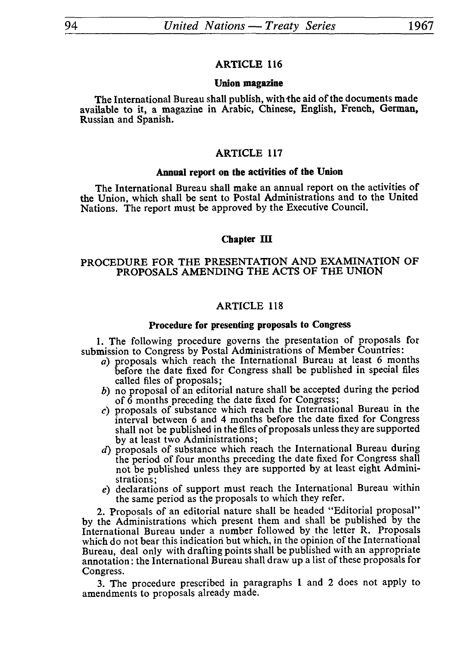# Union magazine

The International Bureau shall publish, with the aid of the documents made available to it, a magazine in Arabic, Chinese, English, French, German, Russian and Spanish.

# ARTICLE 117

# Annual report on the activities of the Union

The International Bureau shall make an annual report on the activities of the Union, which shall be sent to Postal Administrations and to the United Nations. The report must be approved by the Executive Council.

# Chapter III

# PROCEDURE FOR THE PRESENTATION AND EXAMINATION OF PROPOSALS AMENDING THE ACTS OF THE UNION

# ARTICLE 118

# Procedure for presenting proposals to Congress

1. The following procedure governs the presentation of proposals for submission to Congress by Postal Administrations of Member Countries :

- *a)* proposals which reach the International Bureau at least 6 months before the date fixed for Congress shall be published in special files called files of proposals;
- *b)* no proposal of an editorial nature shall be accepted during the period of 6 months preceding the date fixed for Congress;
- c) proposals of substance which reach the International Bureau in the interval between 6 and 4 months before the date fixed for Congress shall not be published in the files of proposals unless they are supported by at least two Administrations ;
- *d)* proposals of substance which reach the International Bureau during the period of four months preceding the date fixed for Congress shall not be published unless they are supported by at least eight Admini strations;
- *e)* declarations of support must reach the International Bureau within the same period as the proposals to which they refer.

2. Proposals of an editorial nature shall be headed "Editorial proposal" by the Administrations which present them and shall be published by the International Bureau under a number followed by the letter R. Proposals which do not bear this indication but which, in the opinion of the International Bureau, deal only with drafting points shall be published with an appropriate annotation: the International Bureau shall draw up a list of these proposals for Congress.

3. The procedure prescribed in paragraphs 1 and 2 does not apply to amendments to proposals already made.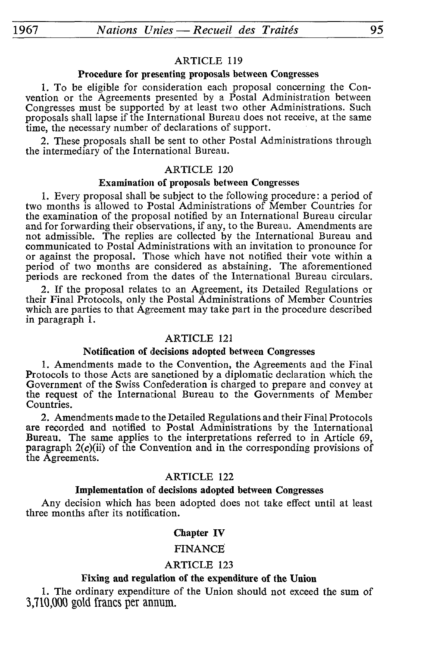#### Procedure for presenting proposals between Congresses

1. To be eligible for consideration each proposal concerning the Con vention or the Agreements presented by a Postal Administration between Congresses must be supported by at least two other Administrations. Such proposals shall lapse if the International Bureau does not receive, at the same time, the necessary number of declarations of support.

2. These proposals shall be sent to other Postal Administrations through the intermediary of the International Bureau.

# ARTICLE 120

# Examination of proposals between Congresses

1. Every proposal shall be subject to the following procedure: a period of two months is allowed to Postal Administrations of Member Countries for the examination of the proposal notified by an International Bureau circular and for forwarding their observations, if any, to the Bureau. Amendments are not admissible. The replies are collected by the International Bureau and communicated to Postal Administrations with an invitation to pronounce for or against the proposal. Those which have not notified their vote within a period of two months are considered as abstaining. The aforementioned periods are reckoned from the dates of the International Bureau circulars.

2. If the proposal relates to an Agreement, its Detailed Regulations or their Final Protocols, only the Postal Administrations of Member Countries which are parties to that Agreement may take part in the procedure described in paragraph 1.

# ARTICLE 121

#### Notification of decisions adopted between Congresses

1. Amendments made to the Convention, the Agreements and the Final Protocols to those Acts are sanctioned by a diplomatic declaration which the Government of the Swiss Confederation is charged to prepare and convey at the request of the International Bureau to the Governments of Member Countries.

2. Amendments made to the Detailed Regulations and their Final Protocols are recorded and notified to Postal Administrations by the International Bureau. The same applies to the interpretations referred to in Article 69, paragraph  $2(c)$ (ii) of the Convention and in the corresponding provisions of the Agreements.

# ARTICLE 122

#### Implementation of decisions adopted between Congresses

Any decision which has been adopted does not take effect until at least three months after its notification.

#### Chapter **IV**

#### FINANCE

#### ARTICLE 123

## Fixing and regulation of the expenditure of the Union

1. The ordinary expenditure of the Union should not exceed the sum of 3,710,000 gold francs per annum.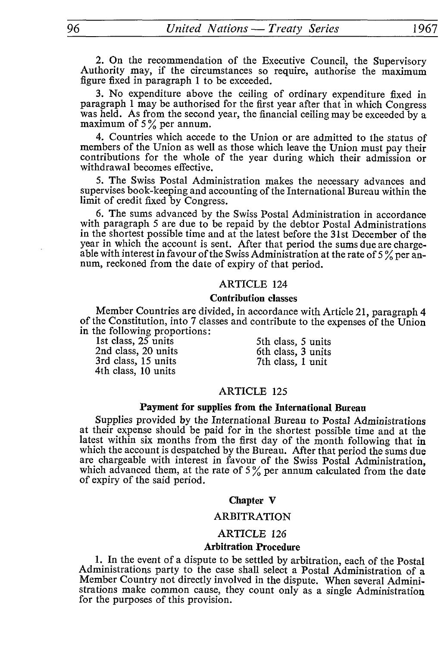2. On the recommendation of the Executive Council, the Supervisory Authority may, if the circumstances so require, authorise the maximum figure fixed in paragraph 1 to be exceeded.

3. No expenditure above the ceiling of ordinary expenditure fixed in paragraph 1 may be authorised for the first year after that in which Congress was held. As from the second year, the financial ceiling may be exceeded by a maximum of  $5\%$  per annum.

4. Countries which accede to the Union or are admitted to the status of members of the Union as well as those which leave the Union must pay their contributions for the whole of the year during which their admission or withdrawal becomes effective.

5. The Swiss Postal Administration makes the necessary advances and supervises book-keeping and accounting of the International Bureau within the limit of credit fixed by Congress.

6. The sums advanced by the Swiss Postal Administration in accordance with paragraph 5 are due to be repaid by the debtor Postal Administrations in the shortest possible time and at the latest before the 31st December of the year in which the account is sent. After that period the sums due are charge able with interest in favour of the Swiss Administration at the rate of 5% per annum, reckoned from the date of expiry of that period.

# ARTICLE 124

#### **Contribution classes**

Member Countries are divided, in accordance with Article 21, paragraph 4 of the Constitution, into 7 classes and contribute to the expenses of the Union in the following proportions :

1st class, 25 units 5th class, 5 units 2nd class, 20 units 6th class, 3 units 3rd class, 15 units 7th class, 1 unit 3rd class, 15 units 4th class, 10 units

# ARTICLE 125

# **Payment for supplies from the International Bureau**

Supplies provided by the International Bureau to Postal Administrations at their expense should be paid for in the shortest possible time and at the latest within six months from the first day of the month following that in which the account is despatched by the Bureau. After that period the sums due are chargeable with interest in favour of the Swiss Postal Administration, which advanced them, at the rate of  $5\%$  per annum calculated from the date of expiry of the said period.

#### **Chapter** V

## ARBITRATION

# ARTICLE 126

#### **Arbitration Procedure**

1. In the event of a dispute to be settled by arbitration, each of the Postal Administrations party to the case shall select a Postal Administration of a Member Country not directly involved in the dispute. When several Admini strations make common cause, they count only as a single Administration for the purposes of this provision.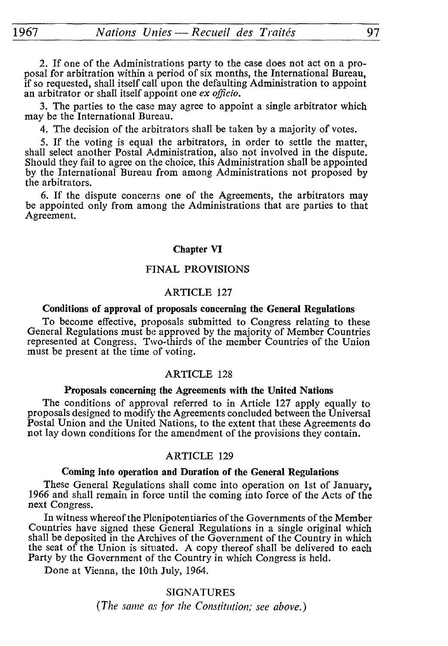1967\_\_\_\_\_\_\_*Nations Unies — Recueil des Traités*\_\_\_\_\_\_\_\_\_\_97

2. If one of the Administrations party to the case does not act on a pro posal for arbitration within a period of six months, the International Bureau, if so requested, shall itself call upon the defaulting Administration to appoint an arbitrator or shall itself appoint one *ex officio.*

3. The parties to the case may agree to appoint a single arbitrator which may be the International Bureau.

4. The decision of the arbitrators shall be taken by a majority of votes.

5. If the voting is equal the arbitrators, in order to settle the matter, shall select another Postal Administration, also not involved in the dispute. Should they fail to agree on the choice, this Administration shall be appointed by the International Bureau from among Administrations not proposed by the arbitrators.

6. If the dispute concerns one of the Agreements, the arbitrators may be appointed only from among the Administrations that are parties to that Agreement.

#### **Chapter VI**

# FINAL PROVISIONS

#### ARTICLE 127

#### **Conditions of approval of proposals concerning the General Regulations**

To become effective, proposals submitted to Congress relating to these General Regulations must be approved by the majority of Member Countries represented at Congress. Two-thirds of the member Countries of the Union must be present at the time of voting.

#### ARTICLE 128

# **Proposals concerning the Agreements with the United Nations**

The conditions of approval referred to in Article 127 apply equally to proposals designed to modify the Agreements concluded between the Universal Postal Union and the United Nations, to the extent that these Agreements do not lay down conditions for the amendment of the provisions they contain.

# ARTICLE 129

#### **Coming into operation and Duration of the General Regulations**

These General Regulations shall come into operation on 1st of January, 1966 and shall remain in force until the coming into force of the Acts of the next Congress.

In witness whereof the Plenipotentiaries of the Governments of the Member Countries have signed these General Regulations in a single original which shall be deposited in the Archives of the Government of the Country in which the seat of the Union is situated. A copy thereof shall be delivered to each Party by the Government of the Country in which Congress is held.

Done at Vienna, the 10th July, 1964.

SIGNATURES *(The same as jor the Constitution; see above.)*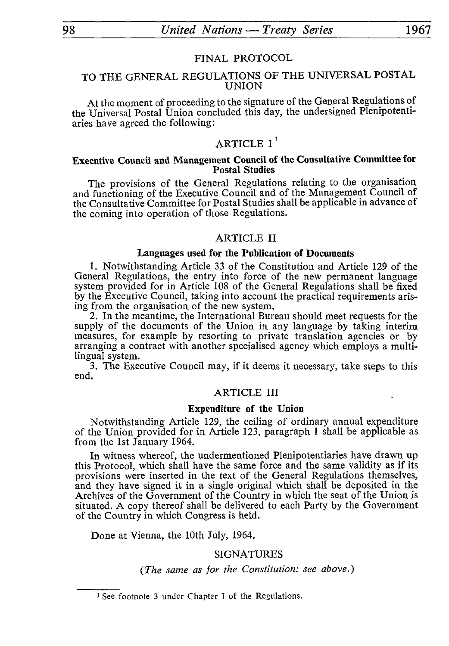## FINAL PROTOCOL

# TO THE GENERAL REGULATIONS OF THE UNIVERSAL POSTAL UNION

At the moment of proceeding to the signature of the General Regulations of the Universal Postal Union concluded this day, the undersigned Plenipotentiaries have agreed the following:

# ARTICLE  $I^1$

# **Executive Council and Management Council of the Consultative Committee for Postal Studies**

The provisions of the General Regulations relating to the organisation and functioning of the Executive Council and of the Management Council of the Consultative Committee for Postal Studies shall be applicable in advance of the coming into operation of those Regulations.

## ARTICLE II

#### **Languages used for the Publication of Documents**

1. Notwithstanding Article 33 of the Constitution and Article 129 of the General Regulations, the entry into force of the new permanent language system provided for in Article 108 of the General Regulations shall be fixed by the Executive Council, taking into account the practical requirements aris ing from the organisation of the new system.

2. In the meantime, the International Bureau should meet requests for the supply of the documents of the Union in any language by taking interim measures, for example by resorting to private translation agencies or by arranging a contract with another specialised agency which employs a multi lingual system.

3. The Executive Council may, if it deems it necessary, take steps to this end.

# ARTICLE III

#### **Expenditure of the Union**

Notwithstanding Article 129, the ceiling of ordinary annual expenditure of the Union provided for in Article 123, paragraph 1 shall be applicable as from the 1st January 1964.

In witness whereof, the undermentioned Plenipotentiaries have drawn up this Protocol, which shall have the same force and the same validity as if its provisions were inserted in the text of the General Regulations themselves, and they have signed it in a single original which shall be deposited in the Archives of the Government of the Country in which the seat of the Union is situated. A copy thereof shall be delivered to each Party by the Government of the Country in which Congress is held.

Done at Vienna, the 10th July, 1964.

#### SIGNATURES

#### *(The same as for the Constitution: see above.)*

<sup>&</sup>lt;sup>1</sup> See footnote 3 under Chapter I of the Regulations.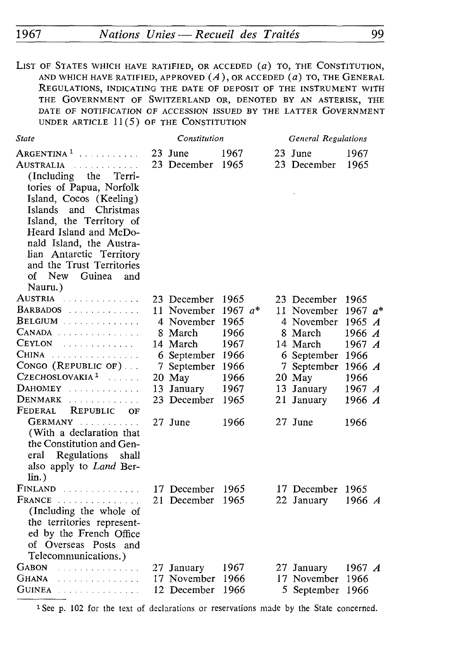LIST OF STATES WHICH HAVE RATIFIED, OR ACCEDED (a) TO, THE CONSTITUTION, AND WHICH HAVE RATIFIED, APPROVED *(A* ), OR ACCEDED *(a)* TO, THE GENERAL REGULATIONS, INDICATING THE DATE OF DEPOSIT OF THE INSTRUMENT WITH THE GOVERNMENT OF SWITZERLAND OR, DENOTED BY AN ASTERISK, THE DATE OF NOTIFICATION OF ACCESSION ISSUED BY THE LATTER GOVERNMENT UNDER ARTICLE 11(5) OF THE CONSTITUTION

| State                                                                                                                                                                                                                                                                                                                                                                                | Constitution                                                                                                                                    |                                                                                            |  | <b>General Regulations</b>                                                                                                                          |                                                                                                                                |  |
|--------------------------------------------------------------------------------------------------------------------------------------------------------------------------------------------------------------------------------------------------------------------------------------------------------------------------------------------------------------------------------------|-------------------------------------------------------------------------------------------------------------------------------------------------|--------------------------------------------------------------------------------------------|--|-----------------------------------------------------------------------------------------------------------------------------------------------------|--------------------------------------------------------------------------------------------------------------------------------|--|
| Argentina <sup>1</sup><br><u>.</u><br>Australia<br>.<br>(Including)<br>the<br>Terri-<br>tories of Papua, Norfolk<br>Island, Cocos (Keeling)<br>and Christmas<br>Islands<br>Island, the Territory of<br>Heard Island and McDo-<br>nald Island, the Austra-<br>lian Antarctic Territory<br>and the Trust Territories<br>New<br>оf<br>Guinea<br>and<br>Nauru.)                          | 23 June<br>23 December                                                                                                                          | 1967<br>1965                                                                               |  | 23 June<br>23 December                                                                                                                              | 1967<br>1965                                                                                                                   |  |
| Austria<br>.<br>$BARBADOS$<br>$\texttt{BELGIUM}$<br>$C$ anada<br><b>CEYLON</b><br>.<br>$CHINA$<br>CONGO (REPUBLIC OF)<br>CZECHOSLOVAKIA <sup>1</sup><br>in de la caracterí<br>DAHOMEY<br>$D$ ENMARK $\ldots$<br>FEDERAL<br>REPUBLIC<br>$O$ F<br>GERMANY<br>(With a declaration that<br>the Constitution and Gen-<br>Regulations<br>shall<br>eral<br>also apply to Land Ber-<br>lin.) | 23 December<br>11 November<br>4 November<br>8 March<br>14 March<br>6 September<br>7 September<br>20 May<br>13 January<br>23 December<br>27 June | 1965<br>1967 $a^*$<br>1965<br>1966<br>1967<br>1966<br>1966<br>1966<br>1967<br>1965<br>1966 |  | 23 December<br>11 November<br>4 November<br>8 March<br>14 March<br>6 September 1966<br>7 September<br>20 May<br>13 January<br>21 January<br>27 June | 1965<br>1967 $a^*$<br>1965 $\boldsymbol{A}$<br>1966 A<br>1967 $\boldsymbol{A}$<br>1966 $A$<br>1966<br>1967 A<br>1966 A<br>1966 |  |
| FINLAND<br>$\textbf{FRANCE}$<br>(Including the whole of<br>the territories represent-<br>ed by the French Office<br>of Overseas Posts and<br>Telecommunications.)                                                                                                                                                                                                                    | 17 December<br>21 December                                                                                                                      | 1965<br>1965                                                                               |  | 17 December<br>22 January                                                                                                                           | 1965<br>1966 $\overline{A}$                                                                                                    |  |
| GABON<br>.<br>Ghana<br>a dia kaominina dia kaominina dia<br>$G$ uinea contra componente de la contra de la contra de la contra de la contra de la contra de la contra de la contra de la contra de la contra de la contra de la contra de la contra de la contra de la contra de la contra                                                                                           | 27 January<br>17 November<br>12 December                                                                                                        | 1967<br>-1966<br>1966                                                                      |  | 27 January<br>17 November 1966<br>5 September 1966                                                                                                  | 1967 $\boldsymbol{A}$                                                                                                          |  |

1 See p. 102 for the text of declarations or reservations made by the State concerned.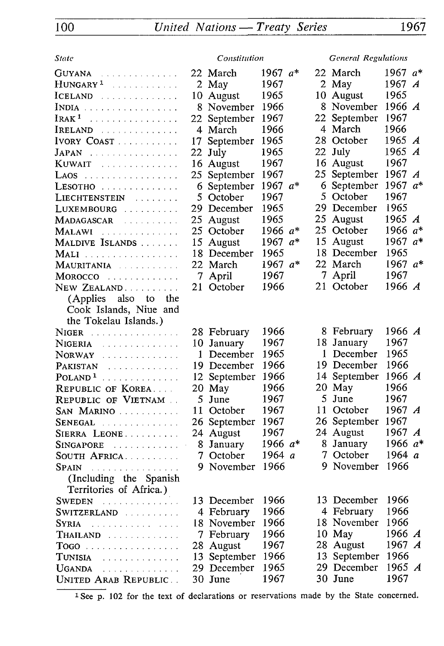| State                                          |    | Constitution           |              |  | <b>General Regulations</b> |                               |                  |
|------------------------------------------------|----|------------------------|--------------|--|----------------------------|-------------------------------|------------------|
| Guyana<br>.                                    |    | 22 March               | 1967 a*      |  | 22 March                   | 1967 $a*$                     |                  |
| HUNGARY <sup>1</sup>                           |    | 2 May                  | 1967         |  | 2 May                      | 1967 $\boldsymbol{A}$         |                  |
| ICELAND                                        |    | 10 August              | 1965         |  | 10 August                  | 1965                          |                  |
| INDIA                                          |    | 8 November             | 1966         |  | 8 November                 | 1966 A                        |                  |
| $I$ RAK $^1$                                   |    | 22 September           | 1967         |  | 22 September               | 1967                          |                  |
| IRELAND                                        |    | 4 March                | 1966         |  | 4 March                    | 1966                          |                  |
| IVORY COAST                                    |    | 17 September           | 1965         |  | 28 October                 | 1965 $\boldsymbol{A}$         |                  |
| $JAPAN$                                        | 22 | July                   | 1965         |  | 22 July                    | 1965                          | $\boldsymbol{A}$ |
| Kuwait<br>.                                    |    | 16 August              | 1967         |  | 16 August                  | 1967                          |                  |
| LAOS                                           |    | 25 September           | 1967         |  | 25 September               | 1967 $\boldsymbol{A}$         |                  |
| LESOTHO                                        |    | 6 September            | 1967 a*      |  | 6 September                | 1967 $a^*$                    |                  |
| LIECHTENSTEIN                                  |    | 5 October              | 1967         |  | 5 October                  | 1967                          |                  |
| LUXEMBOURG                                     |    | 29 December            | 1965         |  | 29 December                | 1965                          |                  |
| Madagascar                                     |    | 25 August              | 1965         |  | 25 August                  | 1965 $A$                      |                  |
| Malawi<br>.                                    |    | 25 October             | 1966 $a*$    |  | 25 October                 | 1966 $a^*$                    |                  |
| MALDIVE ISLANDS                                |    | 15 August              | 1967 $a^*$   |  | 15 August                  | 1967 $a*$                     |                  |
| MALI                                           |    | 18 December            | 1965         |  | 18 December                | 1965                          |                  |
| MAURITANIA                                     |    | 22 March               | 1967 $a*$    |  | 22 March                   | 1967 $a*$                     |                  |
| MOROCCO                                        |    | 7 April                | 1967         |  | 7 April                    | 1967                          |                  |
| NEW ZEALAND                                    |    | 21 October             | 1966         |  | 21 October                 | 1966 $A$                      |                  |
| also<br>(Applies<br>to<br>the                  |    |                        |              |  |                            |                               |                  |
| Cook Islands, Niue and                         |    |                        |              |  |                            |                               |                  |
| the Tokelau Islands.)                          |    |                        |              |  |                            |                               |                  |
| NIGER                                          |    | 28 February            | 1966         |  | 8 February                 | 1966 A                        |                  |
| NIGERIA<br>المتحاولة والمتحالة والمتحاولات     |    | 10 January             | 1967         |  | 18 January                 | 1967                          |                  |
| NORWAY                                         |    | 1 December             | 1965         |  | 1 December                 | 1965<br>1966                  |                  |
| PAKISTAN<br>.                                  |    | 19 December            | 1966         |  | 19 December                |                               |                  |
| $POLAND1$                                      |    | 12 September           | 1966         |  | 14 September               | 1966 $A$<br>1966              |                  |
| REPUBLIC OF KOREA                              |    | 20 May                 | 1966         |  | 20 May<br>5 June           | 1967                          |                  |
| REPUBLIC OF VIETNAM                            |    | 5 June                 | 1967         |  |                            |                               |                  |
| San Marino                                     |    | 11 October             | 1967<br>1967 |  | 11 October                 | 1967 $\boldsymbol{A}$<br>1967 |                  |
| $Senegal$                                      |    | 26 September           | 1967         |  | 26 September<br>24 August  | 1967 A                        |                  |
| SIERRA LEONE                                   |    | 24 August<br>8 January | 1966 $a^*$   |  | 8 January                  | 1966 $a*$                     |                  |
| $SINGAPORE$<br>SOUTH AFRICA                    |    | 7 October              | 1964 a       |  | 7 October                  | 1964 $a$                      |                  |
|                                                |    | 9 November             | 1966         |  | 9 November                 | 1966                          |                  |
| $SPAIN$<br>(Including the Spanish              |    |                        |              |  |                            |                               |                  |
| Territories of Africa.)                        |    |                        |              |  |                            |                               |                  |
| SWEDEN<br>.                                    |    | 13 December            | 1966         |  | 13 December                | 1966                          |                  |
| SWITZERLAND                                    |    | 4 February             | 1966         |  | 4 February                 | 1966                          |                  |
| Syria<br>.                                     |    | 18 November            | 1966         |  | 18 November                | 1966                          |                  |
| THAILAND                                       |    | 7 February             | 1966         |  | 10 May                     | 1966 $\boldsymbol{A}$         |                  |
|                                                |    | 28 August              | 1967         |  | 28 August                  | 1967 $A$                      |                  |
| Tunisia<br>.                                   | 13 | September              | 1966         |  | 13 September               | 1966                          |                  |
| <b>UGANDA</b><br>a shekara ta 1970 a wakazi wa |    | 29 December            | 1965         |  | 29 December                | 1965 A                        |                  |
| UNITED ARAB REPUBLIC                           |    | 30 June                | 1967         |  | 30 June                    | 1967                          |                  |
|                                                |    |                        |              |  |                            |                               |                  |

 $\overline{1}$  See p. 102 for the text of declarations or reservations made by the State concerned.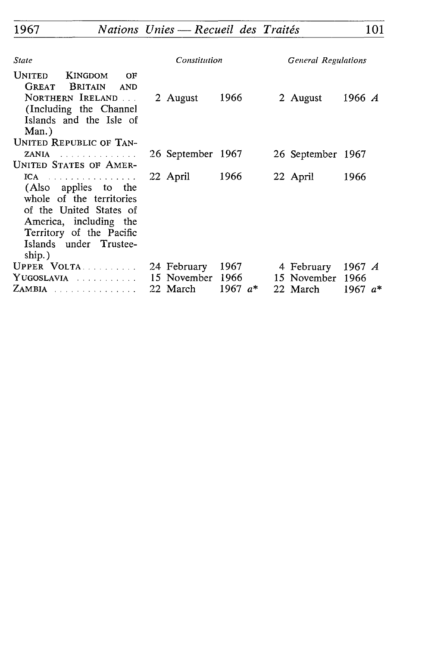| State                                                                                                                                                                          | Constitution      |           | <b>General Regulations</b> |                       |  |
|--------------------------------------------------------------------------------------------------------------------------------------------------------------------------------|-------------------|-----------|----------------------------|-----------------------|--|
| <b>UNITED</b><br>KINGDOM<br>OF<br><b>BRITAIN</b><br><b>GREAT</b><br><b>AND</b><br>NORTHERN IRELAND<br>(Including the Channel<br>Islands and the Isle of<br>Man.)               | 2 August          | 1966      | 2 August                   | 1966 $\bm{A}$         |  |
| <b>UNITED REPUBLIC OF TAN-</b>                                                                                                                                                 |                   |           |                            |                       |  |
| ZANIA<br>UNITED STATES OF AMER-                                                                                                                                                | 26 September 1967 |           | 26 September 1967          |                       |  |
| $ICA$<br>(Also applies to the<br>whole of the territories<br>of the United States of<br>America, including the<br>Territory of the Pacific<br>Islands under Trustee-<br>ship.) | 22 April          | 1966      | 22 April                   | 1966                  |  |
| UPPER VOLTA.                                                                                                                                                                   | 24 February       | 1967      | 4 February                 | 1967 $\boldsymbol{A}$ |  |
| YUGOSLAVIA                                                                                                                                                                     | 15 November       | 1966      | 15 November 1966           |                       |  |
| ZAMBIA                                                                                                                                                                         | 22 March          | 1967 $a*$ | 22 March                   | 1967 $a*$             |  |